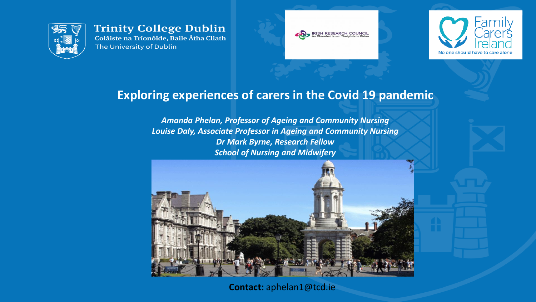

**Trinity College Dublin** Coláiste na Tríonóide, Baile Átha Cliath The University of Dublin





## **Exploring experiences of carers in the Covid 19 pandemic**

*Amanda Phelan, Professor of Ageing and Community Nursing Louise Daly, Associate Professor in Ageing and Community Nursing Dr Mark Byrne, Research Fellow School of Nursing and Midwifery*



**Contact:** aphelan1@tcd.ie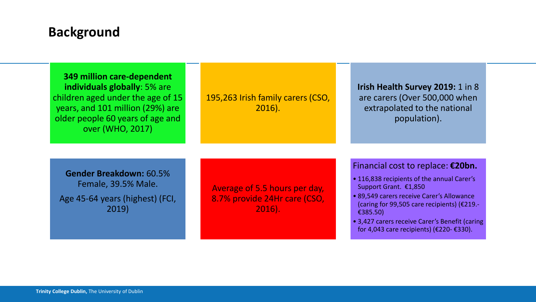## **Background**

**349 million care-dependent individuals globally**: 5% are children aged under the age of 15 years, and 101 million (29%) are older people 60 years of age and over (WHO, 2017)

195,263 Irish family carers (CSO, 2016).

**Irish Health Survey 2019:** 1 in 8 are carers (Over 500,000 when extrapolated to the national population).

**Gender Breakdown:** 60.5% Female, 39.5% Male.

Age 45-64 years (highest) (FCI, 2019)

Average of 5.5 hours per day, 8.7% provide 24Hr care (CSO, 2016).

#### Financial cost to replace: **€20bn.**

- 116,838 recipients of the annual Carer's Support Grant. €1,850
- 89,549 carers receive Carer's Allowance (caring for 99,505 care recipients) (€219.- €385.50)
- 3,427 carers receive Carer's Benefit (caring for 4,043 care recipients) (€220- €330).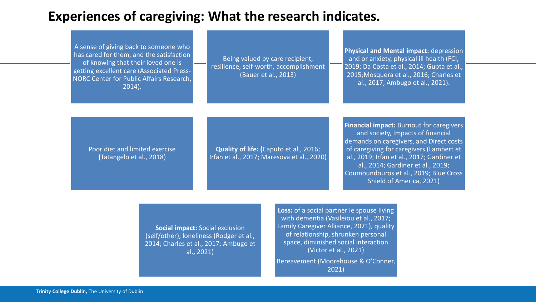## **Experiences of caregiving: What the research indicates.**

A sense of giving back to someone who has cared for them, and the satisfaction of knowing that their loved one is getting excellent care (Associated Press-NORC Center for Public Affairs Research, 2014).

Being valued by care recipient, resilience, self-worth, accomplishment (Bauer et al., 2013)

**Physical and Mental impact:** depression and or anxiety, physical ill health (FCI, 2019; Da Costa et al., 2014; Gupta et al., 2015;Mosquera et al., 2016; Charles et al., 2017; Ambugo et al.**,** 2021).

Poor diet and limited exercise **(**Tatangelo et al., 2018)

**Quality of life: (**Caputo et al., 2016; Irfan et al., 2017; Maresova et al., 2020) **Financial impact:** Burnout for caregivers and society, Impacts of financial demands on caregivers, and Direct costs of caregiving for caregivers (Lambert et al., 2019; Irfan et al., 2017; Gardiner et al., 2014; Gardiner et al., 2019; Coumoundouros et al., 2019; Blue Cross Shield of America, 2021)

**Social impact:** Social exclusion (self/other), loneliness (Rodger et al., 2014; Charles et al., 2017; Ambugo et al.**,** 2021)

**Loss:** of a social partner ie spouse living with dementia (Vasileiou et al., 2017; Family Caregiver Alliance, 2021), quality of relationship, shrunken personal space, diminished social interaction (Victor et al., 2021) Bereavement (Moorehouse & O'Conner,

2021)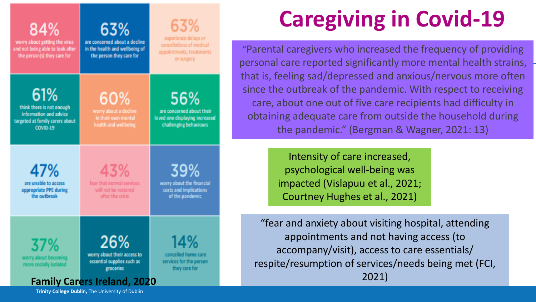| 84%<br>worry about getting the virus<br>and not being able to look after<br>the person(s) they care for   | 63%<br>are concerned about a decline<br>in the health and wellbeing of<br>the person they care for                  | 63%<br>experience delays or<br>cancellations of medical<br>appointments, treatments<br>or surgery |
|-----------------------------------------------------------------------------------------------------------|---------------------------------------------------------------------------------------------------------------------|---------------------------------------------------------------------------------------------------|
| 61%<br>think there is not enough<br>information and advice<br>targeted at family carers about<br>COVID-19 | 60%<br>worry about a decline<br>in their own mental<br>health and wellbeing                                         | 56%<br>are concerned about their<br>loved one displaying increased<br>challenging behaviours      |
| 47%<br>are unable to access<br>appropriate PPE during<br>the outbreak                                     | 43%<br>fear that normal services<br>will not be restored<br>after the crisis                                        | 39%<br>worry about the financial<br>costs and implications<br>of the pandemic                     |
| 37%<br>worry about becoming<br>more socially isolated                                                     | 26%<br>worry about their access to<br>essential supplies such as<br>groceries<br><b>Family Carers Ireland, 2020</b> | 14%<br>cancelled home care<br>services for the person<br>they care for                            |

# **Caregiving in Covid-19**

"Parental caregivers who increased the frequency of providing personal care reported significantly more mental health strains, that is, feeling sad/depressed and anxious/nervous more often since the outbreak of the pandemic. With respect to receiving care, about one out of five care recipients had difficulty in obtaining adequate care from outside the household during the pandemic." (Bergman & Wagner, 2021: 13)

> Intensity of care increased, psychological well-being was impacted (Vislapuu et al., 2021; Courtney Hughes et al., 2021)

"fear and anxiety about visiting hospital, attending appointments and not having access (to accompany/visit), access to care essentials/ respite/resumption of services/needs being met (FCI, 2021)

**Trinity College Dublin,** The University of Dublin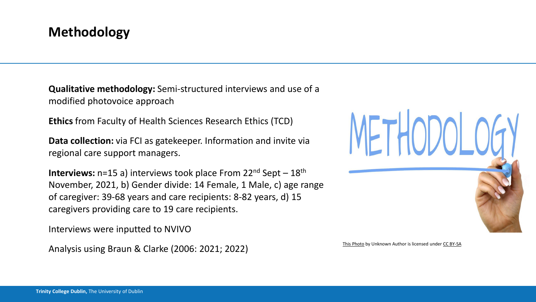## **Methodology**

**Qualitative methodology:** Semi-structured interviews and use of a modified photovoice approach

**Ethics** from Faculty of Health Sciences Research Ethics (TCD)

**Data collection:** via FCI as gate keeper. Information and invite via regional care support managers.

**Interviews:** n=15 a) interviews took place From 22<sup>nd</sup> Sept – 18<sup>th</sup> November, 2021, b) Gender divide: 14 Female, 1 Male, c) age range of caregiver: 39-68 years and care recipients: 8-82 years, d) 15 caregivers providing care to 19 care recipients.

Interviews were inputted to NVIVO

Analysis using Braun & Clarke (2006: 2021; 2022) [This Photo](http://www.thebluediamondgallery.com/handwriting/m/methodology.html) by Unknown Author is licensed under [CC BY-SA](https://creativecommons.org/licenses/by-sa/3.0/)

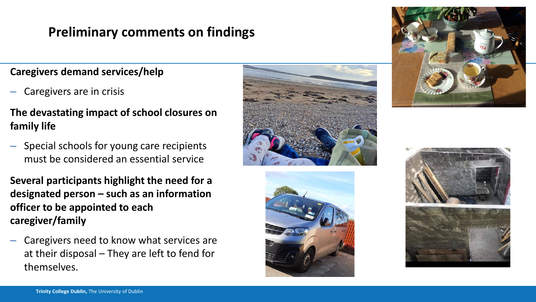## **Preliminary comments on findings**

#### **Caregivers demand services/help**

– Caregivers are in crisis

### **The devastating impact of school closures on family life**

- Special schools for young care recipients must be considered an essential service
- **Several participants highlight the need for a designated person – such as an information officer to be appointed to each caregiver/family**
- Caregivers need to know what services are at their disposal – They are left to fend for themselves.